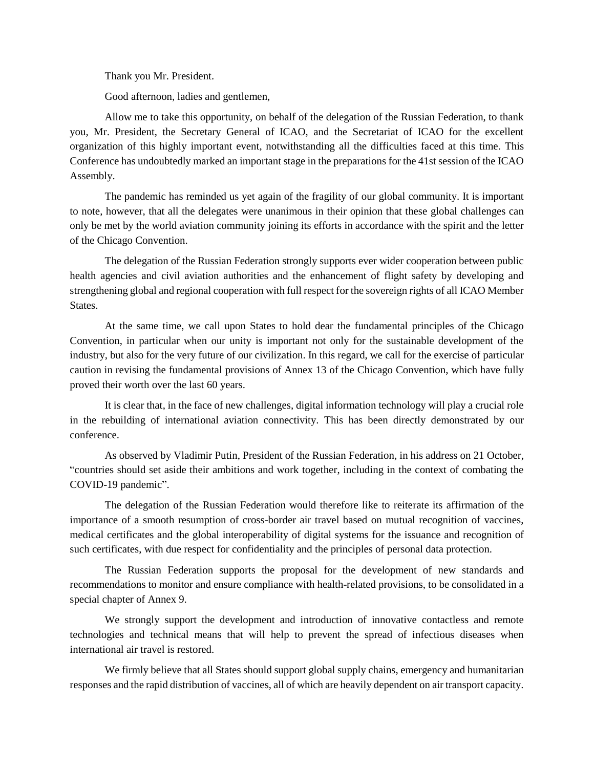Thank you Mr. President.

Good afternoon, ladies and gentlemen,

Allow me to take this opportunity, on behalf of the delegation of the Russian Federation, to thank you, Mr. President, the Secretary General of ICAO, and the Secretariat of ICAO for the excellent organization of this highly important event, notwithstanding all the difficulties faced at this time. This Conference has undoubtedly marked an important stage in the preparations for the 41st session of the ICAO Assembly.

The pandemic has reminded us yet again of the fragility of our global community. It is important to note, however, that all the delegates were unanimous in their opinion that these global challenges can only be met by the world aviation community joining its efforts in accordance with the spirit and the letter of the Chicago Convention.

The delegation of the Russian Federation strongly supports ever wider cooperation between public health agencies and civil aviation authorities and the enhancement of flight safety by developing and strengthening global and regional cooperation with full respect for the sovereign rights of all ICAO Member States.

At the same time, we call upon States to hold dear the fundamental principles of the Chicago Convention, in particular when our unity is important not only for the sustainable development of the industry, but also for the very future of our civilization. In this regard, we call for the exercise of particular caution in revising the fundamental provisions of Annex 13 of the Chicago Convention, which have fully proved their worth over the last 60 years.

It is clear that, in the face of new challenges, digital information technology will play a crucial role in the rebuilding of international aviation connectivity. This has been directly demonstrated by our conference.

As observed by Vladimir Putin, President of the Russian Federation, in his address on 21 October, "countries should set aside their ambitions and work together, including in the context of combating the COVID-19 pandemic".

The delegation of the Russian Federation would therefore like to reiterate its affirmation of the importance of a smooth resumption of cross-border air travel based on mutual recognition of vaccines, medical certificates and the global interoperability of digital systems for the issuance and recognition of such certificates, with due respect for confidentiality and the principles of personal data protection.

The Russian Federation supports the proposal for the development of new standards and recommendations to monitor and ensure compliance with health-related provisions, to be consolidated in a special chapter of Annex 9.

We strongly support the development and introduction of innovative contactless and remote technologies and technical means that will help to prevent the spread of infectious diseases when international air travel is restored.

We firmly believe that all States should support global supply chains, emergency and humanitarian responses and the rapid distribution of vaccines, all of which are heavily dependent on air transport capacity.